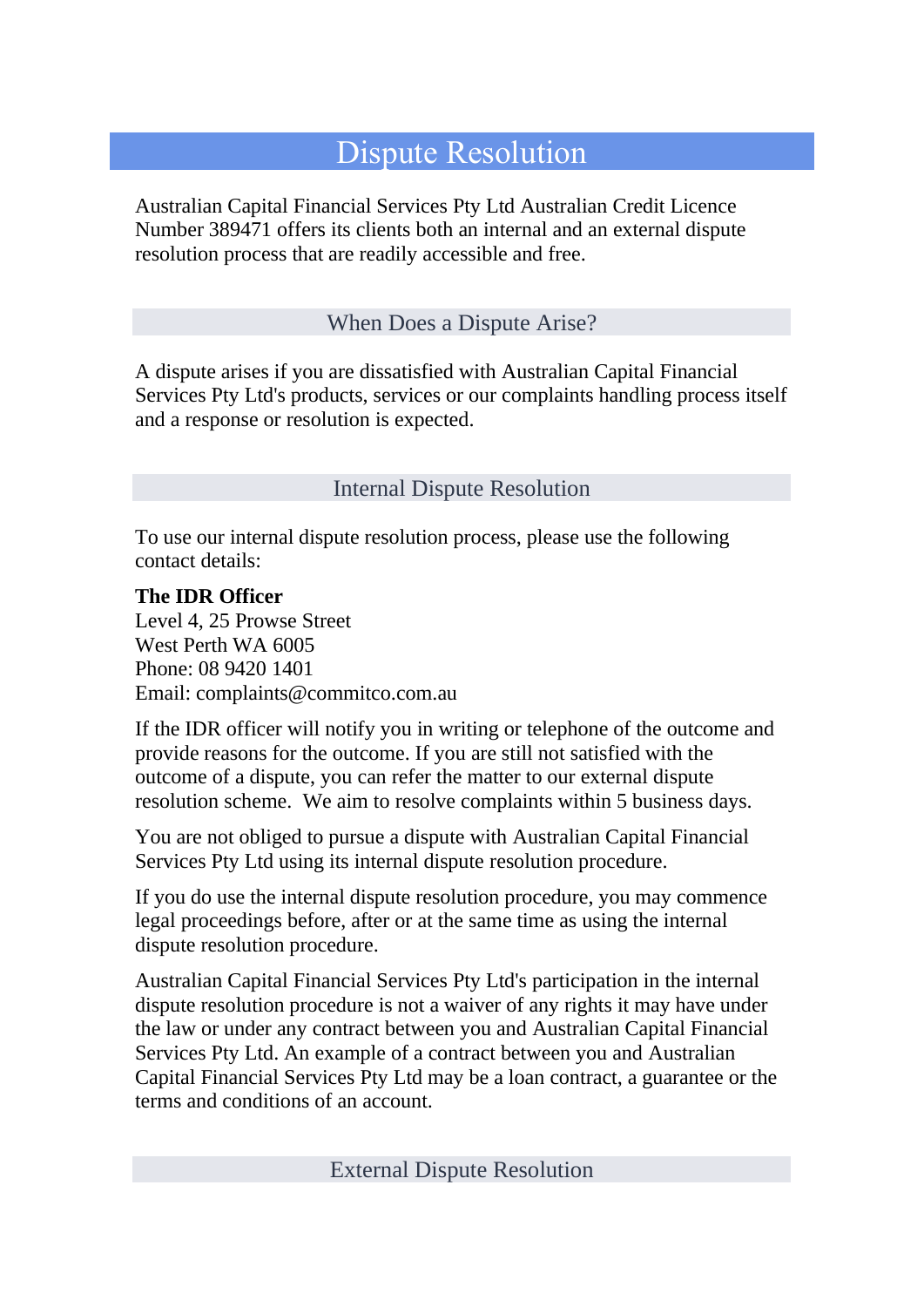## Dispute Resolution

Australian Capital Financial Services Pty Ltd Australian Credit Licence Number 389471 offers its clients both an internal and an external dispute resolution process that are readily accessible and free.

## When Does a Dispute Arise?

A dispute arises if you are dissatisfied with Australian Capital Financial Services Pty Ltd's products, services or our complaints handling process itself and a response or resolution is expected.

Internal Dispute Resolution

To use our internal dispute resolution process, please use the following contact details:

## **The IDR Officer**

Level 4, 25 Prowse Street West Perth WA 6005 Phone: 08 9420 1401 Email: complaints@commitco.com.au

If the IDR officer will notify you in writing or telephone of the outcome and provide reasons for the outcome. If you are still not satisfied with the outcome of a dispute, you can refer the matter to our external dispute resolution scheme. We aim to resolve complaints within 5 business days.

You are not obliged to pursue a dispute with Australian Capital Financial Services Pty Ltd using its internal dispute resolution procedure.

If you do use the internal dispute resolution procedure, you may commence legal proceedings before, after or at the same time as using the internal dispute resolution procedure.

Australian Capital Financial Services Pty Ltd's participation in the internal dispute resolution procedure is not a waiver of any rights it may have under the law or under any contract between you and Australian Capital Financial Services Pty Ltd. An example of a contract between you and Australian Capital Financial Services Pty Ltd may be a loan contract, a guarantee or the terms and conditions of an account.

External Dispute Resolution